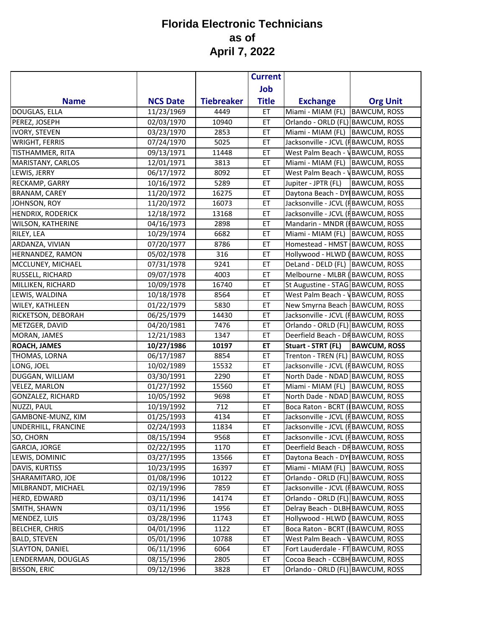|                            |                 |                   | <b>Current</b> |                                        |                     |
|----------------------------|-----------------|-------------------|----------------|----------------------------------------|---------------------|
|                            |                 |                   | Job            |                                        |                     |
| <b>Name</b>                | <b>NCS Date</b> | <b>Tiebreaker</b> | <b>Title</b>   | <b>Exchange</b>                        | <b>Org Unit</b>     |
| DOUGLAS, ELLA              | 11/23/1969      | 4449              | ET             | Miami - MIAM (FL)                      | <b>BAWCUM, ROSS</b> |
| PEREZ, JOSEPH              | 02/03/1970      | 10940             | ET             | Orlando - ORLD (FL) BAWCUM, ROSS       |                     |
| <b>IVORY, STEVEN</b>       | 03/23/1970      | 2853              | ET             | Miami - MIAM (FL) BAWCUM, ROSS         |                     |
| <b>WRIGHT, FERRIS</b>      | 07/24/1970      | 5025              | ET             | Jacksonville - JCVL (FBAWCUM, ROSS     |                     |
| <b>TISTHAMMER, RITA</b>    | 09/13/1971      | 11448             | ET             | West Palm Beach - <b>NBAWCUM, ROSS</b> |                     |
| MARISTANY, CARLOS          | 12/01/1971      | 3813              | ET             | Miami - MIAM (FL)                      | <b>BAWCUM, ROSS</b> |
| LEWIS, JERRY               | 06/17/1972      | 8092              | ET             | West Palm Beach - <b>\BAWCUM, ROSS</b> |                     |
| RECKAMP, GARRY             | 10/16/1972      | 5289              | ET             | Jupiter - JPTR (FL)                    | <b>BAWCUM, ROSS</b> |
| <b>BRANAM, CAREY</b>       | 11/20/1972      | 16275             | ET             | Daytona Beach - DY BAWCUM, ROSS        |                     |
| JOHNSON, ROY               | 11/20/1972      | 16073             | ET             | Jacksonville - JCVL (FBAWCUM, ROSS     |                     |
| HENDRIX, RODERICK          | 12/18/1972      | 13168             | ET             | Jacksonville - JCVL (FBAWCUM, ROSS     |                     |
| WILSON, KATHERINE          | 04/16/1973      | 2898              | ET             | Mandarin - MNDR (IBAWCUM, ROSS         |                     |
| RILEY, LEA                 | 10/29/1974      | 6682              | ET             | Miami - MIAM (FL)                      | <b>BAWCUM, ROSS</b> |
| ARDANZA, VIVIAN            | 07/20/1977      | 8786              | ET             | Homestead - HMST BAWCUM, ROSS          |                     |
| HERNANDEZ, RAMON           | 05/02/1978      | 316               | ET             | Hollywood - HLWD (BAWCUM, ROSS         |                     |
| MCCLUNEY, MICHAEL          | 07/31/1978      | 9241              | ET             | DeLand - DELD (FL) BAWCUM, ROSS        |                     |
| RUSSELL, RICHARD           | 09/07/1978      | 4003              | ET             | Melbourne - MLBR (BAWCUM, ROSS         |                     |
| MILLIKEN, RICHARD          | 10/09/1978      | 16740             | ET             | St Augustine - STAG BAWCUM, ROSS       |                     |
| LEWIS, WALDINA             | 10/18/1978      | 8564              | ET             | West Palm Beach - <b>VBAWCUM, ROSS</b> |                     |
| WILEY, KATHLEEN            | 01/22/1979      | 5830              | ET             | New Smyrna Beach BAWCUM, ROSS          |                     |
| RICKETSON, DEBORAH         | 06/25/1979      | 14430             | ET             | Jacksonville - JCVL (FBAWCUM, ROSS     |                     |
| METZGER, DAVID             | 04/20/1981      | 7476              | ET             | Orlando - ORLD (FL) BAWCUM, ROSS       |                     |
| MORAN, JAMES               | 12/21/1983      | 1347              | ET             | Deerfield Beach - DHBAWCUM, ROSS       |                     |
| <b>ROACH, JAMES</b>        | 10/27/1986      | 10197             | ET             | Stuart - STRT (FL)                     | <b>BAWCUM, ROSS</b> |
| THOMAS, LORNA              | 06/17/1987      | 8854              | ET             | Trenton - TREN (FL) BAWCUM, ROSS       |                     |
| LONG, JOEL                 | 10/02/1989      | 15532             | ET             | Jacksonville - JCVL (FBAWCUM, ROSS     |                     |
| DUGGAN, WILLIAM            | 03/30/1991      | 2290              | ET             | North Dade - NDAD BAWCUM, ROSS         |                     |
| <b>VELEZ, MARLON</b>       | 01/27/1992      | 15560             | ET             | Miami - MIAM (FL)                      | <b>BAWCUM, ROSS</b> |
| <b>GONZALEZ, RICHARD</b>   | 10/05/1992      | 9698              | ET             | North Dade - NDAD BAWCUM, ROSS         |                     |
| <b>NUZZI, PAUL</b>         | 10/19/1992      | 712               | ET             | Boca Raton - BCRT (BAWCUM, ROSS        |                     |
| <b>GAMBONE-MUNZ, KIM</b>   | 01/25/1993      | 4134              | ET             | Jacksonville - JCVL (FBAWCUM, ROSS     |                     |
| <b>UNDERHILL, FRANCINE</b> | 02/24/1993      | 11834             | ET.            | Jacksonville - JCVL (FBAWCUM, ROSS     |                     |
| SO, CHORN                  | 08/15/1994      | 9568              | ET             | Jacksonville - JCVL (FBAWCUM, ROSS     |                     |
| <b>GARCIA, JORGE</b>       | 02/22/1995      | 1170              | ET             | Deerfield Beach - DHBAWCUM, ROSS       |                     |
| LEWIS, DOMINIC             | 03/27/1995      | 13566             | ET             | Daytona Beach - DY BAWCUM, ROSS        |                     |
| DAVIS, KURTISS             | 10/23/1995      | 16397             | ET             | Miami - MIAM (FL) BAWCUM, ROSS         |                     |
| SHARAMITARO, JOE           | 01/08/1996      | 10122             | ET             | Orlando - ORLD (FL) BAWCUM, ROSS       |                     |
| MILBRANDT, MICHAEL         | 02/19/1996      | 7859              | ET             | Jacksonville - JCVL (FBAWCUM, ROSS     |                     |
| HERD, EDWARD               | 03/11/1996      | 14174             | ET             | Orlando - ORLD (FL) BAWCUM, ROSS       |                     |
| SMITH, SHAWN               | 03/11/1996      | 1956              | ET             | Delray Beach - DLBH BAWCUM, ROSS       |                     |
| MENDEZ, LUIS               | 03/28/1996      | 11743             | ET             | Hollywood - HLWD (BAWCUM, ROSS         |                     |
| <b>BELCHER, CHRIS</b>      | 04/01/1996      | 1122              | ET             | Boca Raton - BCRT (BAWCUM, ROSS        |                     |
| <b>BALD, STEVEN</b>        | 05/01/1996      | 10788             | ET             | West Palm Beach - <b>NBAWCUM, ROSS</b> |                     |
| SLAYTON, DANIEL            | 06/11/1996      | 6064              | ET             | Fort Lauderdale - FT BAWCUM, ROSS      |                     |
| LENDERMAN, DOUGLAS         | 08/15/1996      | 2805              | ET             | Cocoa Beach - CCBH BAWCUM, ROSS        |                     |
| <b>BISSON, ERIC</b>        | 09/12/1996      | 3828              | ET             | Orlando - ORLD (FL) BAWCUM, ROSS       |                     |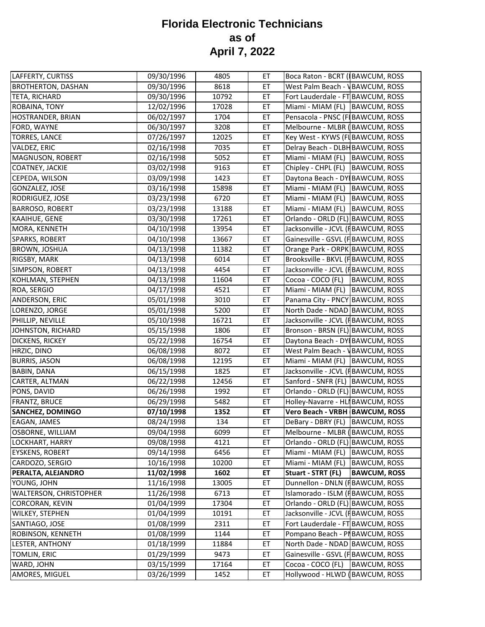| LAFFERTY, CURTISS         | 09/30/1996 | 4805  | ET | Boca Raton - BCRT (BAWCUM, ROSS        |                     |
|---------------------------|------------|-------|----|----------------------------------------|---------------------|
| <b>BROTHERTON, DASHAN</b> | 09/30/1996 | 8618  | ET | West Palm Beach - <b>VBAWCUM, ROSS</b> |                     |
| <b>TETA, RICHARD</b>      | 09/30/1996 | 10792 | ET | Fort Lauderdale - FT BAWCUM, ROSS      |                     |
| ROBAINA, TONY             | 12/02/1996 | 17028 | ET | Miami - MIAM (FL) BAWCUM, ROSS         |                     |
| HOSTRANDER, BRIAN         | 06/02/1997 | 1704  | ET | Pensacola - PNSC (FIBAWCUM, ROSS       |                     |
| FORD, WAYNE               | 06/30/1997 | 3208  | ET | Melbourne - MLBR (BAWCUM, ROSS         |                     |
| <b>TORRES, LANCE</b>      | 07/26/1997 | 12025 | ET | Key West - KYWS (FIBAWCUM, ROSS        |                     |
| VALDEZ, ERIC              | 02/16/1998 | 7035  | ET | Delray Beach - DLBH BAWCUM, ROSS       |                     |
| <b>MAGNUSON, ROBERT</b>   | 02/16/1998 | 5052  | ET | Miami - MIAM (FL) BAWCUM, ROSS         |                     |
| COATNEY, JACKIE           | 03/02/1998 | 9163  | ET | Chipley - CHPL (FL)                    | <b>BAWCUM, ROSS</b> |
| CEPEDA, WILSON            | 03/09/1998 | 1423  | ET | Daytona Beach - DY BAWCUM, ROSS        |                     |
| GONZALEZ, JOSE            | 03/16/1998 | 15898 | ET | Miami - MIAM (FL) BAWCUM, ROSS         |                     |
| RODRIGUEZ, JOSE           | 03/23/1998 | 6720  | ET | Miami - MIAM (FL)                      | <b>BAWCUM, ROSS</b> |
| <b>BARROSO, ROBERT</b>    | 03/23/1998 | 13188 | ET | Miami - MIAM (FL) BAWCUM, ROSS         |                     |
| KAAIHUE, GENE             | 03/30/1998 | 17261 | ET | Orlando - ORLD (FL) BAWCUM, ROSS       |                     |
| MORA, KENNETH             | 04/10/1998 | 13954 | ET | Jacksonville - JCVL (FBAWCUM, ROSS     |                     |
| SPARKS, ROBERT            | 04/10/1998 | 13667 | ET | Gainesville - GSVL (FBAWCUM, ROSS      |                     |
| <b>BROWN, JOSHUA</b>      | 04/13/1998 | 11382 | ET | Orange Park - ORPK BAWCUM, ROSS        |                     |
| RIGSBY, MARK              | 04/13/1998 | 6014  | ET | Brooksville - BKVL (FBAWCUM, ROSS      |                     |
| SIMPSON, ROBERT           | 04/13/1998 | 4454  | ET | Jacksonville - JCVL (IBAWCUM, ROSS     |                     |
| KOHLMAN, STEPHEN          | 04/13/1998 | 11604 | ET | Cocoa - COCO (FL)                      | <b>BAWCUM, ROSS</b> |
| ROA, SERGIO               | 04/17/1998 | 4521  | ET | Miami - MIAM (FL) BAWCUM, ROSS         |                     |
| ANDERSON, ERIC            | 05/01/1998 | 3010  | ET | Panama City - PNCY BAWCUM, ROSS        |                     |
| LORENZO, JORGE            | 05/01/1998 | 5200  | ET | North Dade - NDAD BAWCUM, ROSS         |                     |
| PHILLIP, NEVILLE          | 05/10/1998 | 16721 | ET | Jacksonville - JCVL (FBAWCUM, ROSS     |                     |
| JOHNSTON, RICHARD         | 05/15/1998 | 1806  | ET | Bronson - BRSN (FL) BAWCUM, ROSS       |                     |
| <b>DICKENS, RICKEY</b>    | 05/22/1998 | 16754 | ET | Daytona Beach - DY BAWCUM, ROSS        |                     |
| HRZIC, DINO               | 06/08/1998 | 8072  | ET | West Palm Beach - VBAWCUM, ROSS        |                     |
| <b>BURRIS, JASON</b>      | 06/08/1998 | 12195 | ET | Miami - MIAM (FL) BAWCUM, ROSS         |                     |
| <b>BABIN, DANA</b>        | 06/15/1998 | 1825  | ET | Jacksonville - JCVL (FBAWCUM, ROSS     |                     |
| CARTER, ALTMAN            | 06/22/1998 | 12456 | ET | Sanford - SNFR (FL) BAWCUM, ROSS       |                     |
| PONS, DAVID               | 06/26/1998 | 1992  | ET | Orlando - ORLD (FL) BAWCUM, ROSS       |                     |
| FRANTZ, BRUCE             | 06/29/1998 | 5482  | ET | Holley-Navarre - HLI BAWCUM, ROSS      |                     |
| <b>SANCHEZ, DOMINGO</b>   | 07/10/1998 | 1352  | ET | Vero Beach - VRBH BAWCUM, ROSS         |                     |
| EAGAN, JAMES              | 08/24/1998 | 134   | ET | DeBary - DBRY (FL) BAWCUM, ROSS        |                     |
| OSBORNE, WILLIAM          | 09/04/1998 | 6099  | ЕT | Melbourne - MLBR (BAWCUM, ROSS         |                     |
| LOCKHART, HARRY           | 09/08/1998 | 4121  | ET | Orlando - ORLD (FL) BAWCUM, ROSS       |                     |
| <b>EYSKENS, ROBERT</b>    | 09/14/1998 | 6456  | ET | Miami - MIAM (FL) BAWCUM, ROSS         |                     |
| CARDOZO, SERGIO           | 10/16/1998 | 10200 | ET | Miami - MIAM (FL)                      | <b>BAWCUM, ROSS</b> |
| PERALTA, ALEJANDRO        | 11/02/1998 | 1602  | ET | Stuart - STRT (FL)                     | <b>BAWCUM, ROSS</b> |
| YOUNG, JOHN               | 11/16/1998 | 13005 | ET | Dunnellon - DNLN (FBAWCUM, ROSS        |                     |
| WALTERSON, CHRISTOPHER    | 11/26/1998 | 6713  | ET | Islamorado - ISLM (FBAWCUM, ROSS       |                     |
| <b>CORCORAN, KEVIN</b>    | 01/04/1999 | 17304 | ET | Orlando - ORLD (FL) BAWCUM, ROSS       |                     |
| <b>WILKEY, STEPHEN</b>    | 01/04/1999 | 10191 | ET | Jacksonville - JCVL (FBAWCUM, ROSS     |                     |
| SANTIAGO, JOSE            | 01/08/1999 | 2311  | ET | Fort Lauderdale - FT BAWCUM, ROSS      |                     |
| ROBINSON, KENNETH         | 01/08/1999 | 1144  | ET | Pompano Beach - PI BAWCUM, ROSS        |                     |
| LESTER, ANTHONY           | 01/18/1999 | 11884 | ET | North Dade - NDAD BAWCUM, ROSS         |                     |
| TOMLIN, ERIC              | 01/29/1999 | 9473  | ET | Gainesville - GSVL (FBAWCUM, ROSS      |                     |
| WARD, JOHN                | 03/15/1999 | 17164 | ET | Cocoa - COCO (FL)                      | <b>BAWCUM, ROSS</b> |
| AMORES, MIGUEL            | 03/26/1999 | 1452  | ET | Hollywood - HLWD (BAWCUM, ROSS         |                     |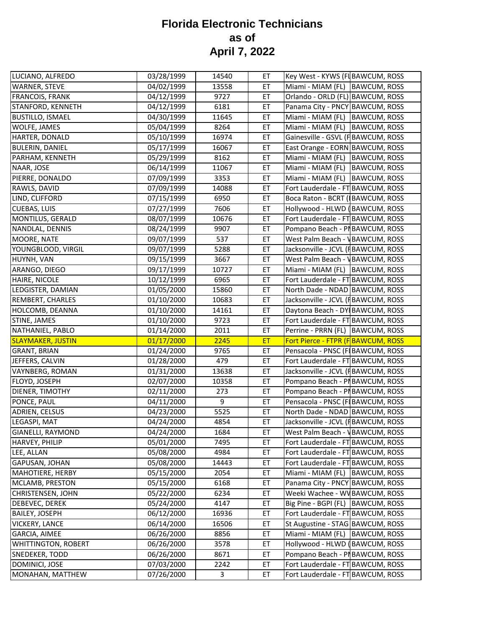| LUCIANO, ALFREDO                                                                                                    | 03/28/1999 | 14540 | ET        | Key West - KYWS (FI BAWCUM, ROSS         |
|---------------------------------------------------------------------------------------------------------------------|------------|-------|-----------|------------------------------------------|
| <b>WARNER, STEVE</b>                                                                                                | 04/02/1999 | 13558 | ET        | Miami - MIAM (FL) BAWCUM, ROSS           |
| <b>FRANCOIS, FRANK</b>                                                                                              | 04/12/1999 | 9727  | ET        | Orlando - ORLD (FL) BAWCUM, ROSS         |
| STANFORD, KENNETH                                                                                                   | 04/12/1999 | 6181  | ET        | Panama City - PNCY BAWCUM, ROSS          |
| <b>BUSTILLO, ISMAEL</b>                                                                                             | 04/30/1999 | 11645 | ET        | Miami - MIAM (FL)<br><b>BAWCUM, ROSS</b> |
| WOLFE, JAMES                                                                                                        | 05/04/1999 | 8264  | ET        | Miami - MIAM (FL)<br><b>BAWCUM, ROSS</b> |
| HARTER, DONALD                                                                                                      | 05/10/1999 | 16974 | ET        | Gainesville - GSVL (FBAWCUM, ROSS        |
| <b>BULERIN, DANIEL</b>                                                                                              | 05/17/1999 | 16067 | ET        | East Orange - EORN BAWCUM, ROSS          |
| PARHAM, KENNETH                                                                                                     | 05/29/1999 | 8162  | ET        | Miami - MIAM (FL)<br><b>BAWCUM, ROSS</b> |
| NAAR, JOSE                                                                                                          | 06/14/1999 | 11067 | ET        | Miami - MIAM (FL)<br><b>BAWCUM, ROSS</b> |
| PIERRE, DONALDO                                                                                                     | 07/09/1999 | 3353  | ET        | Miami - MIAM (FL)<br><b>BAWCUM, ROSS</b> |
| RAWLS, DAVID                                                                                                        | 07/09/1999 | 14088 | ET        | Fort Lauderdale - FT BAWCUM, ROSS        |
| LIND, CLIFFORD                                                                                                      | 07/15/1999 | 6950  | ET        | Boca Raton - BCRT (BAWCUM, ROSS          |
| <b>CUEBAS, LUIS</b>                                                                                                 | 07/27/1999 | 7606  | ET        | Hollywood - HLWD (BAWCUM, ROSS           |
| MONTILUS, GERALD                                                                                                    | 08/07/1999 | 10676 | ET        | Fort Lauderdale - FT BAWCUM, ROSS        |
| NANDLAL, DENNIS                                                                                                     | 08/24/1999 | 9907  | ET        | Pompano Beach - PI BAWCUM, ROSS          |
| MOORE, NATE                                                                                                         | 09/07/1999 | 537   | ET        | West Palm Beach - <b>\BAWCUM, ROSS</b>   |
| YOUNGBLOOD, VIRGIL                                                                                                  | 09/07/1999 | 5288  | ET        | Jacksonville - JCVL (FBAWCUM, ROSS       |
| HUYNH, VAN                                                                                                          | 09/15/1999 | 3667  | ET        | West Palm Beach - <b>\BAWCUM, ROSS</b>   |
| ARANGO, DIEGO                                                                                                       | 09/17/1999 | 10727 | ET        | Miami - MIAM (FL)<br><b>BAWCUM, ROSS</b> |
| HAIRE, NICOLE                                                                                                       | 10/12/1999 | 6965  | ET        | Fort Lauderdale - FT BAWCUM, ROSS        |
| LEDGISTER, DAMIAN                                                                                                   | 01/05/2000 | 15860 | ET        | North Dade - NDAD BAWCUM, ROSS           |
| REMBERT, CHARLES                                                                                                    | 01/10/2000 | 10683 | ET        | Jacksonville - JCVL (FBAWCUM, ROSS       |
| HOLCOMB, DEANNA                                                                                                     | 01/10/2000 | 14161 | ET        | Daytona Beach - DY BAWCUM, ROSS          |
| STINE, JAMES                                                                                                        | 01/10/2000 | 9723  | ET        | Fort Lauderdale - FT BAWCUM, ROSS        |
|                                                                                                                     |            |       |           |                                          |
|                                                                                                                     | 01/14/2000 | 2011  | ET        | Perrine - PRRN (FL) BAWCUM, ROSS         |
| NATHANIEL, PABLO<br><b>SLAYMAKER, JUSTIN</b>                                                                        | 01/17/2000 | 2245  | <b>ET</b> | Fort Pierce - FTPR (FBAWCUM, ROSS        |
| <b>GRANT, BRIAN</b>                                                                                                 | 01/24/2000 | 9765  | ET        | Pensacola - PNSC (FIBAWCUM, ROSS         |
| JEFFERS, CALVIN                                                                                                     | 01/28/2000 | 479   | ET        | Fort Lauderdale - FT BAWCUM, ROSS        |
| <b>VAYNBERG, ROMAN</b>                                                                                              | 01/31/2000 | 13638 | ET        | Jacksonville - JCVL (FBAWCUM, ROSS       |
| FLOYD, JOSEPH                                                                                                       | 02/07/2000 | 10358 | ET        | Pompano Beach - PI BAWCUM, ROSS          |
| DIENER, TIMOTHY                                                                                                     | 02/11/2000 | 273   | ET        | Pompano Beach - PIBAWCUM, ROSS           |
| PONCE, PAUL                                                                                                         | 04/11/2000 | 9     | ET        | Pensacola - PNSC (FIBAWCUM, ROSS         |
| ADRIEN, CELSUS                                                                                                      | 04/23/2000 | 5525  | ET        | North Dade - NDAD BAWCUM, ROSS           |
|                                                                                                                     | 04/24/2000 | 4854  | ET        | Jacksonville - JCVL (FBAWCUM, ROSS       |
| <b>GIANELLI, RAYMOND</b>                                                                                            | 04/24/2000 | 1684  | ET        | West Palm Beach - <b>\BAWCUM, ROSS</b>   |
|                                                                                                                     | 05/01/2000 | 7495  | ET        | Fort Lauderdale - FT BAWCUM, ROSS        |
| LEE, ALLAN                                                                                                          | 05/08/2000 | 4984  | ET        | Fort Lauderdale - FT BAWCUM, ROSS        |
|                                                                                                                     | 05/08/2000 | 14443 | ET        | Fort Lauderdale - FT BAWCUM, ROSS        |
|                                                                                                                     | 05/15/2000 | 2054  | ET        | Miami - MIAM (FL) BAWCUM, ROSS           |
|                                                                                                                     | 05/15/2000 | 6168  | ET        | Panama City - PNCY BAWCUM, ROSS          |
| LEGASPI, MAT<br><b>HARVEY, PHILIP</b><br>GAPUSAN, JOHAN<br>MAHOTIERE, HERBY<br>MCLAMB, PRESTON<br>CHRISTENSEN, JOHN | 05/22/2000 | 6234  | ET        | Weeki Wachee - WVBAWCUM, ROSS            |
|                                                                                                                     | 05/24/2000 | 4147  | ET        | Big Pine - BGPI (FL) BAWCUM, ROSS        |
|                                                                                                                     | 06/12/2000 | 16936 | ET        | Fort Lauderdale - FT BAWCUM, ROSS        |
| DEBEVEC, DEREK<br><b>BAILEY, JOSEPH</b><br><b>VICKERY, LANCE</b>                                                    | 06/14/2000 | 16506 | ET        | St Augustine - STAG BAWCUM, ROSS         |
| <b>GARCIA, AIMEE</b>                                                                                                | 06/26/2000 | 8856  | ET        | Miami - MIAM (FL)<br><b>BAWCUM, ROSS</b> |
| <b>WHITTINGTON, ROBERT</b>                                                                                          | 06/26/2000 | 3578  | ET        | Hollywood - HLWD (BAWCUM, ROSS           |
| SNEDEKER, TODD                                                                                                      | 06/26/2000 | 8671  | ET        | Pompano Beach - PI BAWCUM, ROSS          |
| DOMINICI, JOSE                                                                                                      | 07/03/2000 | 2242  | ET        | Fort Lauderdale - FT BAWCUM, ROSS        |